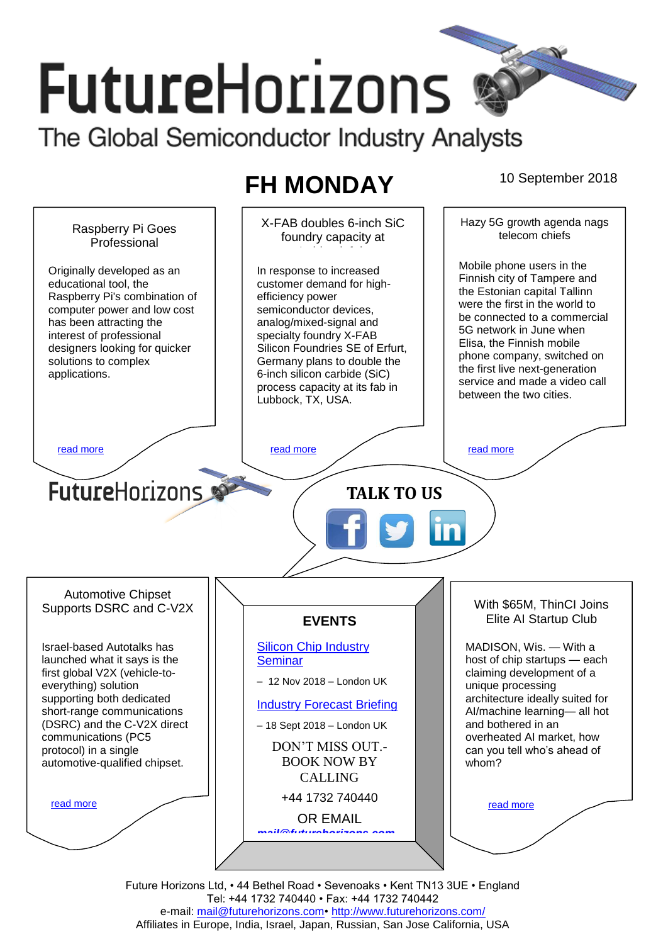# **FutureHorizons** The Global Semiconductor Industry Analysts

## **FH MONDAY** 10 September 2018

Hazy 5G growth agenda nags X-FAB doubles 6-inch SiC Raspberry Pi Goes telecom chiefs foundry capacity at Professional Lubbock fab Mobile phone users in the Originally developed as an In response to increased Finnish city of Tampere and educational tool, the customer demand for highthe Estonian capital Tallinn Raspberry Pi's combination of efficiency power were the first in the world to computer power and low cost semiconductor devices, be connected to a commercial has been attracting the analog/mixed-signal and 5G network in June when interest of professional specialty foundry X-FAB Elisa, the Finnish mobile designers looking for quicker Silicon Foundries SE of Erfurt, phone company, switched on solutions to complex Germany plans to double the the first live next-generation 6-inch silicon carbide (SiC) applications. service and made a video call process capacity at its fab in between the two cities. Lubbock, TX, USA. [read more](#page-1-1) that the second contract the second contract of the read more that the read more that the read more **Future**Horizons **TALK TO US** Automotive Chipset With \$65M, ThinCI Joins Supports DSRC and C-V2X Elite AI Startup Club **EVENTS** Israel-based Autotalks has [Silicon Chip Industry](http://www.futurehorizons.com/page/12/silicon-chip-training)  MADISON, Wis. — With a **[Seminar](http://www.futurehorizons.com/page/12/silicon-chip-training)** host of chip startups — each launched what it says is the first global V2X (vehicle-toclaiming development of a – 12 Nov 2018 – London UK everything) solution unique processing supporting both dedicated architecture ideally suited for [Industry Forecast Briefing](http://www.futurehorizons.com/page/13/Semiconductor-Market-Forecast-Seminar) short-range communications AI/machine learning— all hot (DSRC) and the C-V2X direct and bothered in an – 18 Sept 2018 – London UK communications (PC5 overheated AI market, how DON'T MISS OUT. protocol) in a single can you tell who's ahead of BOOK NOW BY automotive-qualified chipset.whom? CALLING +44 1732 740440 [read more](#page-1-3) [read more](#page-1-4) OR EMAIL *[mail@futurehorizons.com](mailto:mail@futurehorizons.com)*

Future Horizons Ltd, • 44 Bethel Road • Sevenoaks • Kent TN13 3UE • England Tel: +44 1732 740440 • Fax: +44 1732 740442 e-mail: mail@futurehorizons.com• http://www.futurehorizons.com/ Affiliates in Europe, India, Israel, Japan, Russian, San Jose California, USA